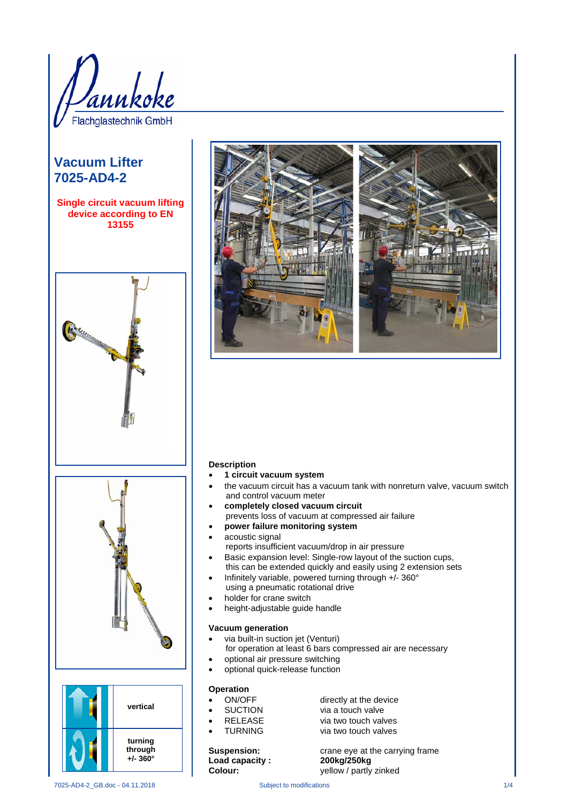

# **Vacuum Lifter 7025-AD4-2**

**Single circuit vacuum lifting device according to EN 13155**









#### **Description**

- **1 circuit vacuum system**
- the vacuum circuit has a vacuum tank with nonreturn valve, vacuum switch and control vacuum meter
- **completely closed vacuum circuit**
- prevents loss of vacuum at compressed air failure
- **power failure monitoring system**
- acoustic signal
- reports insufficient vacuum/drop in air pressure
- Basic expansion level: Single-row layout of the suction cups, this can be extended quickly and easily using 2 extension sets
- Infinitely variable, powered turning through +/- 360° using a pneumatic rotational drive
- holder for crane switch
- height-adjustable guide handle

#### **Vacuum generation**

- via built-in suction jet (Venturi) for operation at least 6 bars compressed air are necessary
- optional air pressure switching
- optional quick-release function

### **Operation**

- ON/OFF directly at the device
- SUCTION via a touch valve
- example and the via two touch valves<br>
FURNING<br>
via two touch valves
	- via two touch valves

**Suspension: crane eye at the carrying frame Load capacity : 200kg/250kg** yellow / partly zinked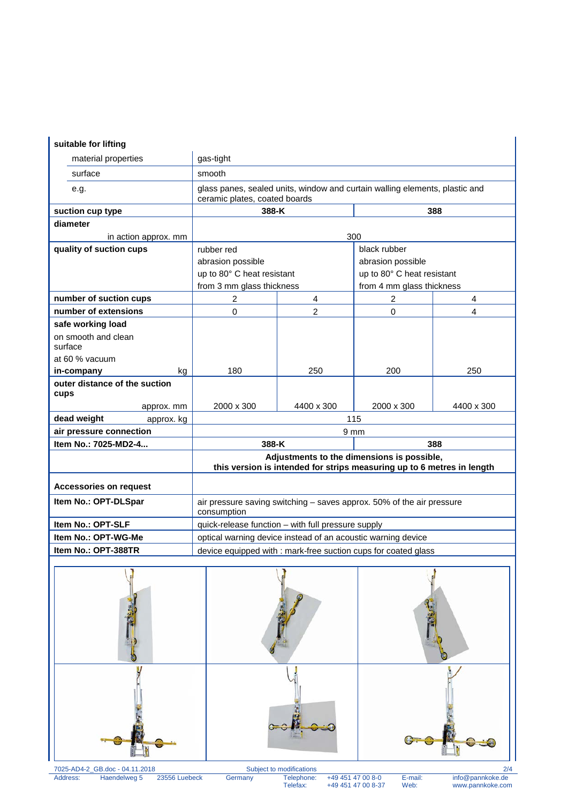## **suitable for lifting**

| suitable for lifting          |                                                                                                                      |                         |                            |                |
|-------------------------------|----------------------------------------------------------------------------------------------------------------------|-------------------------|----------------------------|----------------|
| material properties           | gas-tight                                                                                                            |                         |                            |                |
| surface                       | smooth                                                                                                               |                         |                            |                |
| e.g.                          | glass panes, sealed units, window and curtain walling elements, plastic and<br>ceramic plates, coated boards         |                         |                            |                |
| suction cup type              | 388-K                                                                                                                |                         | 388                        |                |
| diameter                      |                                                                                                                      |                         |                            |                |
| in action approx. mm          | 300                                                                                                                  |                         |                            |                |
| quality of suction cups       | rubber red                                                                                                           |                         | black rubber               |                |
|                               | abrasion possible                                                                                                    |                         | abrasion possible          |                |
|                               | up to 80° C heat resistant                                                                                           |                         | up to 80° C heat resistant |                |
|                               | from 3 mm glass thickness                                                                                            |                         | from 4 mm glass thickness  |                |
| number of suction cups        | 2                                                                                                                    | $\overline{\mathbf{4}}$ | 2                          | $\overline{4}$ |
| number of extensions          | $\mathbf 0$                                                                                                          | $\overline{2}$          | 0                          | 4              |
| safe working load             |                                                                                                                      |                         |                            |                |
| on smooth and clean           |                                                                                                                      |                         |                            |                |
| surface                       |                                                                                                                      |                         |                            |                |
| at 60 % vacuum                |                                                                                                                      |                         |                            |                |
| in-company<br>kg              | 180                                                                                                                  | 250                     | 200                        | 250            |
| outer distance of the suction |                                                                                                                      |                         |                            |                |
| cups                          |                                                                                                                      |                         |                            |                |
| approx. mm                    | 2000 x 300                                                                                                           | 4400 x 300              | 2000 x 300                 | 4400 x 300     |
| dead weight<br>approx. kg     | 115                                                                                                                  |                         |                            |                |
| air pressure connection       | 9 <sub>mm</sub>                                                                                                      |                         |                            |                |
| Item No.: 7025-MD2-4          | 388-K                                                                                                                |                         | 388                        |                |
|                               | Adjustments to the dimensions is possible,<br>this version is intended for strips measuring up to 6 metres in length |                         |                            |                |
| <b>Accessories on request</b> |                                                                                                                      |                         |                            |                |
| Item No.: OPT-DLSpar          | air pressure saving switching - saves approx. 50% of the air pressure<br>consumption                                 |                         |                            |                |
| Item No.: OPT-SLF             | quick-release function - with full pressure supply                                                                   |                         |                            |                |
| Item No.: OPT-WG-Me           | optical warning device instead of an acoustic warning device                                                         |                         |                            |                |
| Item No.: OPT-388TR           | device equipped with : mark-free suction cups for coated glass                                                       |                         |                            |                |



Address: Haendelweg 5 23556 Luebeck Germany Telephone: +49 451 47 00 8-0 E-mail: info@pannkoke.de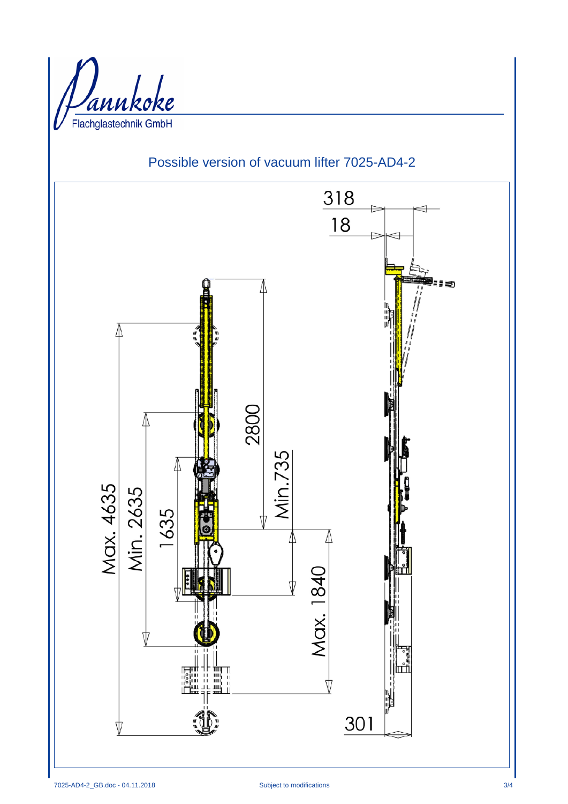